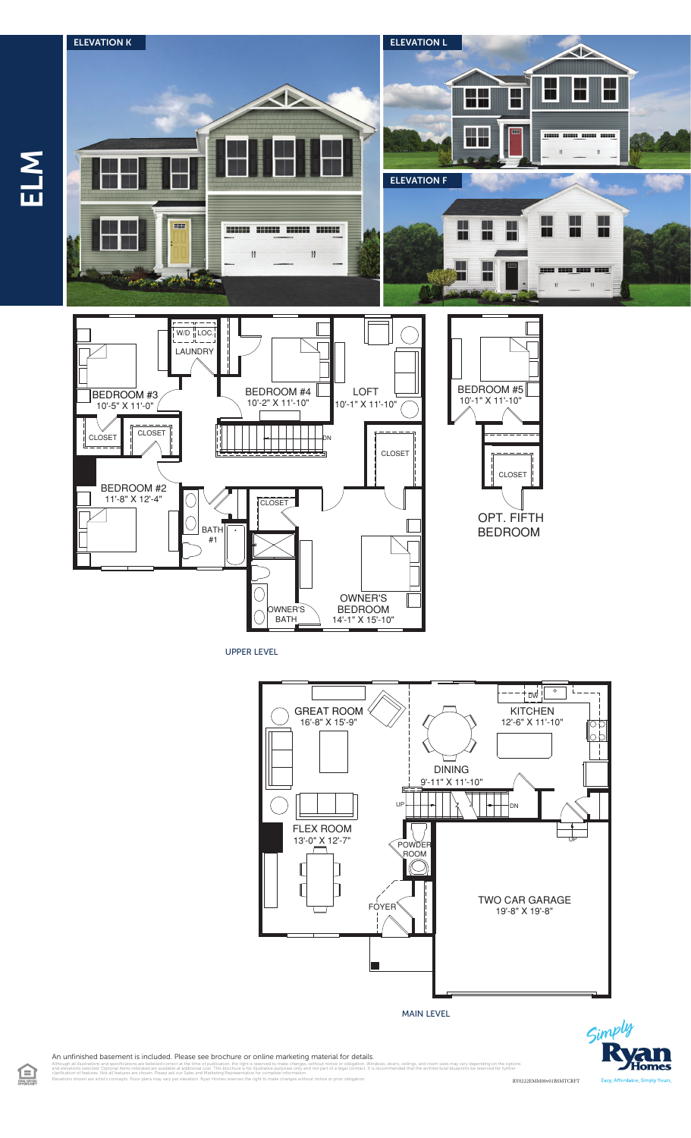

UPPER LEVEL



MAIN LEVEL



An unfinished basement is included. Please see brochure or online marketing material for details.

illustrations and specifications are believed correct at the time of publication, the right is reserved to make changes, without notice or obligation. Windows, doors, ceilings, and room sizes may vary depending on the opt<br> clarification of features. Not all features are shown. Please ask our Sales and Marketing Representative for complete information. Elevations shown are artist's concepts. Floor plans may vary per elevation. Ryan Homes reserves the right to make changes without notice or prior obligation. RY0222EMM00v01BSMTCRFT